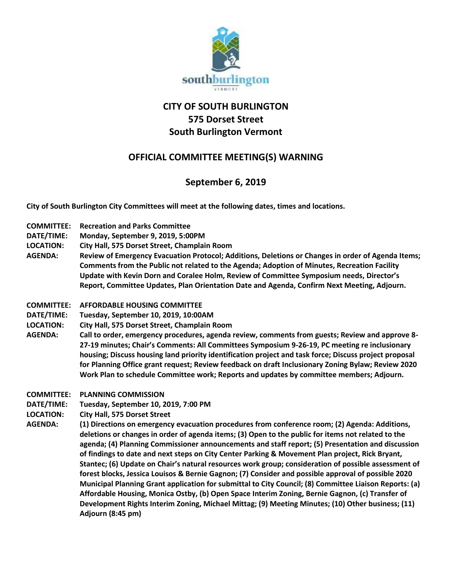

## **CITY OF SOUTH BURLINGTON 575 Dorset Street South Burlington Vermont**

## **OFFICIAL COMMITTEE MEETING(S) WARNING**

## **September 6, 2019**

**City of South Burlington City Committees will meet at the following dates, times and locations.** 

- **COMMITTEE: Recreation and Parks Committee**
- **DATE/TIME: Monday, September 9, 2019, 5:00PM**
- **LOCATION: City Hall, 575 Dorset Street, Champlain Room**
- **AGENDA: Review of Emergency Evacuation Protocol; Additions, Deletions or Changes in order of Agenda Items; Comments from the Public not related to the Agenda; Adoption of Minutes, Recreation Facility Update with Kevin Dorn and Coralee Holm, Review of Committee Symposium needs, Director's Report, Committee Updates, Plan Orientation Date and Agenda, Confirm Next Meeting, Adjourn.**
- **COMMITTEE: AFFORDABLE HOUSING COMMITTEE**
- **DATE/TIME: Tuesday, September 10, 2019, 10:00AM**
- **LOCATION: City Hall, 575 Dorset Street, Champlain Room**
- **AGENDA: Call to order, emergency procedures, agenda review, comments from guests; Review and approve 8- 27-19 minutes; Chair's Comments: All Committees Symposium 9-26-19, PC meeting re inclusionary housing; Discuss housing land priority identification project and task force; Discuss project proposal for Planning Office grant request; Review feedback on draft Inclusionary Zoning Bylaw; Review 2020 Work Plan to schedule Committee work; Reports and updates by committee members; Adjourn.**
- **COMMITTEE: PLANNING COMMISSION**
- **DATE/TIME: Tuesday, September 10, 2019, 7:00 PM**
- **LOCATION: City Hall, 575 Dorset Street**
- **AGENDA: (1) Directions on emergency evacuation procedures from conference room; (2) Agenda: Additions, deletions or changes in order of agenda items; (3) Open to the public for items not related to the agenda; (4) Planning Commissioner announcements and staff report; (5) Presentation and discussion of findings to date and next steps on City Center Parking & Movement Plan project, Rick Bryant, Stantec; (6) Update on Chair's natural resources work group; consideration of possible assessment of forest blocks, Jessica Louisos & Bernie Gagnon; (7) Consider and possible approval of possible 2020 Municipal Planning Grant application for submittal to City Council; (8) Committee Liaison Reports: (a) Affordable Housing, Monica Ostby, (b) Open Space Interim Zoning, Bernie Gagnon, (c) Transfer of Development Rights Interim Zoning, Michael Mittag; (9) Meeting Minutes; (10) Other business; (11) Adjourn (8:45 pm)**